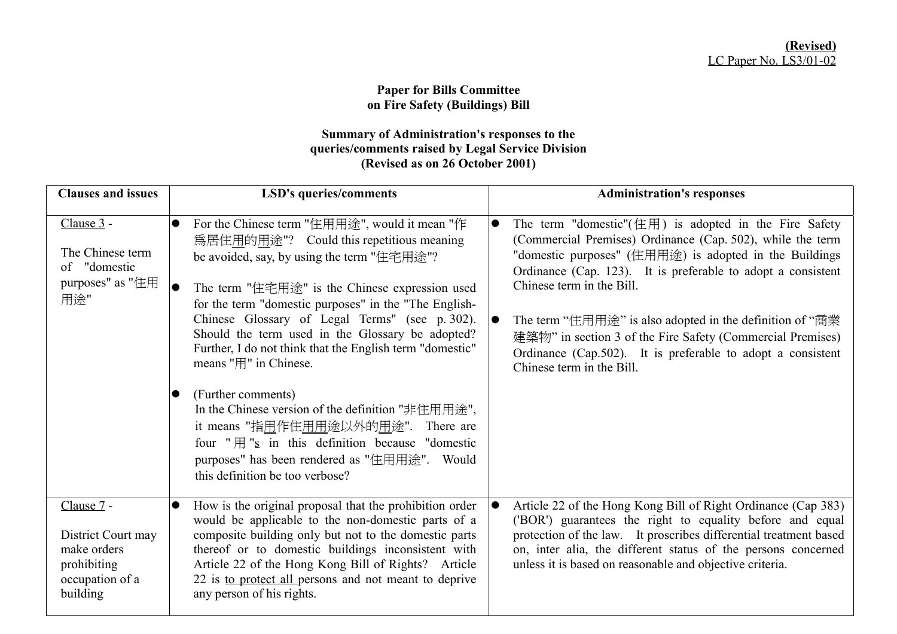## **Paper for Bills Committee on Fire Safety (Buildings) Bill**

## **Summary of Administration's responses to the queries/comments raised by Legal Service Division (Revised as on 26 October 2001)**

| <b>Clauses and issues</b>                                                                     | <b>LSD's queries/comments</b>                                                                                                                                                                                                                                                                                                                                                                                                                                                                                                                                                                                                                                                                                               | <b>Administration's responses</b>                                                                                                                                                                                                                                                                                                                                                                                                                                                                                        |
|-----------------------------------------------------------------------------------------------|-----------------------------------------------------------------------------------------------------------------------------------------------------------------------------------------------------------------------------------------------------------------------------------------------------------------------------------------------------------------------------------------------------------------------------------------------------------------------------------------------------------------------------------------------------------------------------------------------------------------------------------------------------------------------------------------------------------------------------|--------------------------------------------------------------------------------------------------------------------------------------------------------------------------------------------------------------------------------------------------------------------------------------------------------------------------------------------------------------------------------------------------------------------------------------------------------------------------------------------------------------------------|
| Clause 3 -<br>The Chinese term<br>of "domestic<br>purposes" as "住用<br>用途"                     | For the Chinese term "住用用途", would it mean "作<br>$\bullet$<br>為居住用的用途"? Could this repetitious meaning<br>be avoided, say, by using the term "住宅用途"?<br>The term "住宅用途" is the Chinese expression used<br>for the term "domestic purposes" in the "The English-<br>Chinese Glossary of Legal Terms" (see p. 302).<br>Should the term used in the Glossary be adopted?<br>Further, I do not think that the English term "domestic"<br>means "用" in Chinese.<br>(Further comments)<br>In the Chinese version of the definition "非住用用途",<br>it means "指用作住用用途以外的用途". There are<br>four " $\text{H}$ "s in this definition because "domestic<br>purposes" has been rendered as "住用用途". Would<br>this definition be too verbose? | The term "domestic" $(E \nvert H)$ is adopted in the Fire Safety<br>$\bullet$<br>(Commercial Premises) Ordinance (Cap. 502), while the term<br>"domestic purposes" (住用用途) is adopted in the Buildings<br>Ordinance (Cap. 123). It is preferable to adopt a consistent<br>Chinese term in the Bill.<br>The term "住用用途" is also adopted in the definition of "商業<br>建築物" in section 3 of the Fire Safety (Commercial Premises)<br>Ordinance (Cap.502). It is preferable to adopt a consistent<br>Chinese term in the Bill. |
| Clause 7 -<br>District Court may<br>make orders<br>prohibiting<br>occupation of a<br>building | How is the original proposal that the prohibition order<br>would be applicable to the non-domestic parts of a<br>composite building only but not to the domestic parts<br>thereof or to domestic buildings inconsistent with<br>Article 22 of the Hong Kong Bill of Rights? Article<br>22 is to protect all persons and not meant to deprive<br>any person of his rights.                                                                                                                                                                                                                                                                                                                                                   | Article 22 of the Hong Kong Bill of Right Ordinance (Cap 383)<br>10<br>('BOR') guarantees the right to equality before and equal<br>protection of the law. It proscribes differential treatment based<br>on, inter alia, the different status of the persons concerned<br>unless it is based on reasonable and objective criteria.                                                                                                                                                                                       |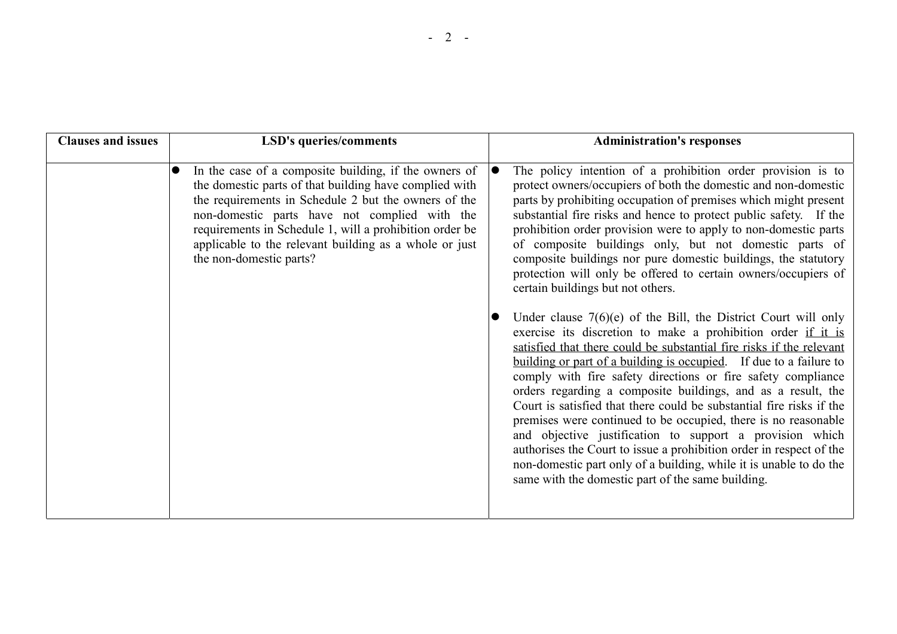| <b>Clauses and issues</b> | <b>LSD's queries/comments</b>                                                                                                                                                                                                                                                                                                                                            | <b>Administration's responses</b>                                                                                                                                                                                                                                                                                                                                                                                                                                                                                                                                                                                                                                                                                                                                                                                      |
|---------------------------|--------------------------------------------------------------------------------------------------------------------------------------------------------------------------------------------------------------------------------------------------------------------------------------------------------------------------------------------------------------------------|------------------------------------------------------------------------------------------------------------------------------------------------------------------------------------------------------------------------------------------------------------------------------------------------------------------------------------------------------------------------------------------------------------------------------------------------------------------------------------------------------------------------------------------------------------------------------------------------------------------------------------------------------------------------------------------------------------------------------------------------------------------------------------------------------------------------|
|                           |                                                                                                                                                                                                                                                                                                                                                                          |                                                                                                                                                                                                                                                                                                                                                                                                                                                                                                                                                                                                                                                                                                                                                                                                                        |
|                           | In the case of a composite building, if the owners of<br>the domestic parts of that building have complied with<br>the requirements in Schedule 2 but the owners of the<br>non-domestic parts have not complied with the<br>requirements in Schedule 1, will a prohibition order be<br>applicable to the relevant building as a whole or just<br>the non-domestic parts? | The policy intention of a prohibition order provision is to<br>protect owners/occupiers of both the domestic and non-domestic<br>parts by prohibiting occupation of premises which might present<br>substantial fire risks and hence to protect public safety. If the<br>prohibition order provision were to apply to non-domestic parts<br>of composite buildings only, but not domestic parts of<br>composite buildings nor pure domestic buildings, the statutory<br>protection will only be offered to certain owners/occupiers of<br>certain buildings but not others.                                                                                                                                                                                                                                            |
|                           |                                                                                                                                                                                                                                                                                                                                                                          | Under clause $7(6)(e)$ of the Bill, the District Court will only<br>exercise its discretion to make a prohibition order if it is<br>satisfied that there could be substantial fire risks if the relevant<br>building or part of a building is occupied. If due to a failure to<br>comply with fire safety directions or fire safety compliance<br>orders regarding a composite buildings, and as a result, the<br>Court is satisfied that there could be substantial fire risks if the<br>premises were continued to be occupied, there is no reasonable<br>and objective justification to support a provision which<br>authorises the Court to issue a prohibition order in respect of the<br>non-domestic part only of a building, while it is unable to do the<br>same with the domestic part of the same building. |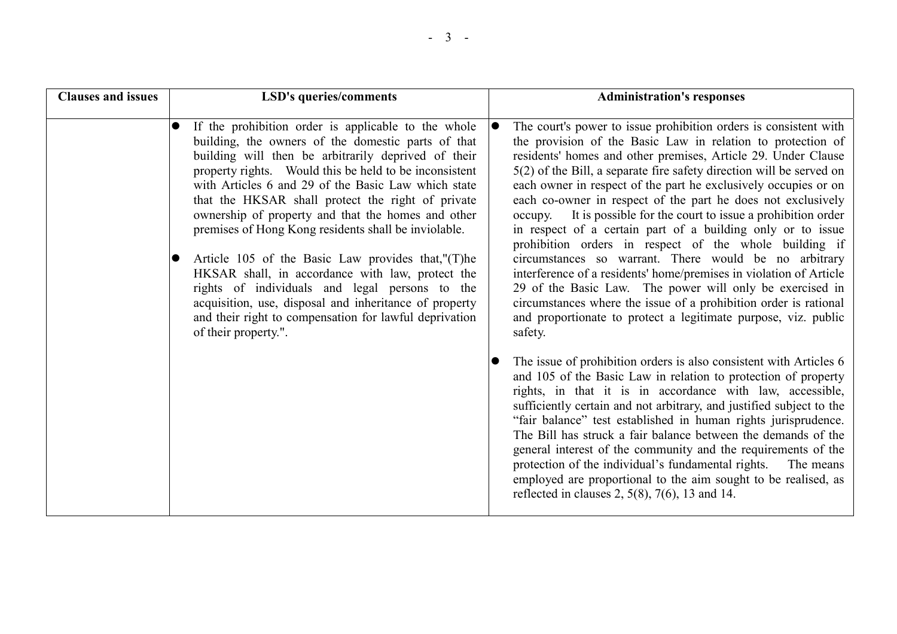| <b>Clauses and issues</b> | <b>LSD's queries/comments</b>                                                                                                                                                                                                                                                                                                                                                                                                                                                                                                                                                                                                                                                                                                                               | <b>Administration's responses</b>                                                                                                                                                                                                                                                                                                                                                                                                                                                                                                                                                                                                                                                                                                                                                                                                                                                                                                                                                                                                                                                                                                                                                                                                                                                                                                                                                                                                                                                                                                                                                                                                           |
|---------------------------|-------------------------------------------------------------------------------------------------------------------------------------------------------------------------------------------------------------------------------------------------------------------------------------------------------------------------------------------------------------------------------------------------------------------------------------------------------------------------------------------------------------------------------------------------------------------------------------------------------------------------------------------------------------------------------------------------------------------------------------------------------------|---------------------------------------------------------------------------------------------------------------------------------------------------------------------------------------------------------------------------------------------------------------------------------------------------------------------------------------------------------------------------------------------------------------------------------------------------------------------------------------------------------------------------------------------------------------------------------------------------------------------------------------------------------------------------------------------------------------------------------------------------------------------------------------------------------------------------------------------------------------------------------------------------------------------------------------------------------------------------------------------------------------------------------------------------------------------------------------------------------------------------------------------------------------------------------------------------------------------------------------------------------------------------------------------------------------------------------------------------------------------------------------------------------------------------------------------------------------------------------------------------------------------------------------------------------------------------------------------------------------------------------------------|
|                           | If the prohibition order is applicable to the whole<br>building, the owners of the domestic parts of that<br>building will then be arbitrarily deprived of their<br>property rights. Would this be held to be inconsistent<br>with Articles 6 and 29 of the Basic Law which state<br>that the HKSAR shall protect the right of private<br>ownership of property and that the homes and other<br>premises of Hong Kong residents shall be inviolable.<br>Article 105 of the Basic Law provides that,"(T)he<br>HKSAR shall, in accordance with law, protect the<br>rights of individuals and legal persons to the<br>acquisition, use, disposal and inheritance of property<br>and their right to compensation for lawful deprivation<br>of their property.". | The court's power to issue prohibition orders is consistent with<br>10<br>the provision of the Basic Law in relation to protection of<br>residents' homes and other premises, Article 29. Under Clause<br>$5(2)$ of the Bill, a separate fire safety direction will be served on<br>each owner in respect of the part he exclusively occupies or on<br>each co-owner in respect of the part he does not exclusively<br>It is possible for the court to issue a prohibition order<br>occupy.<br>in respect of a certain part of a building only or to issue<br>prohibition orders in respect of the whole building if<br>circumstances so warrant. There would be no arbitrary<br>interference of a residents' home/premises in violation of Article<br>29 of the Basic Law. The power will only be exercised in<br>circumstances where the issue of a prohibition order is rational<br>and proportionate to protect a legitimate purpose, viz. public<br>safety.<br>The issue of prohibition orders is also consistent with Articles 6<br>and 105 of the Basic Law in relation to protection of property<br>rights, in that it is in accordance with law, accessible,<br>sufficiently certain and not arbitrary, and justified subject to the<br>"fair balance" test established in human rights jurisprudence.<br>The Bill has struck a fair balance between the demands of the<br>general interest of the community and the requirements of the<br>protection of the individual's fundamental rights. The means<br>employed are proportional to the aim sought to be realised, as<br>reflected in clauses 2, $5(8)$ , $7(6)$ , 13 and 14. |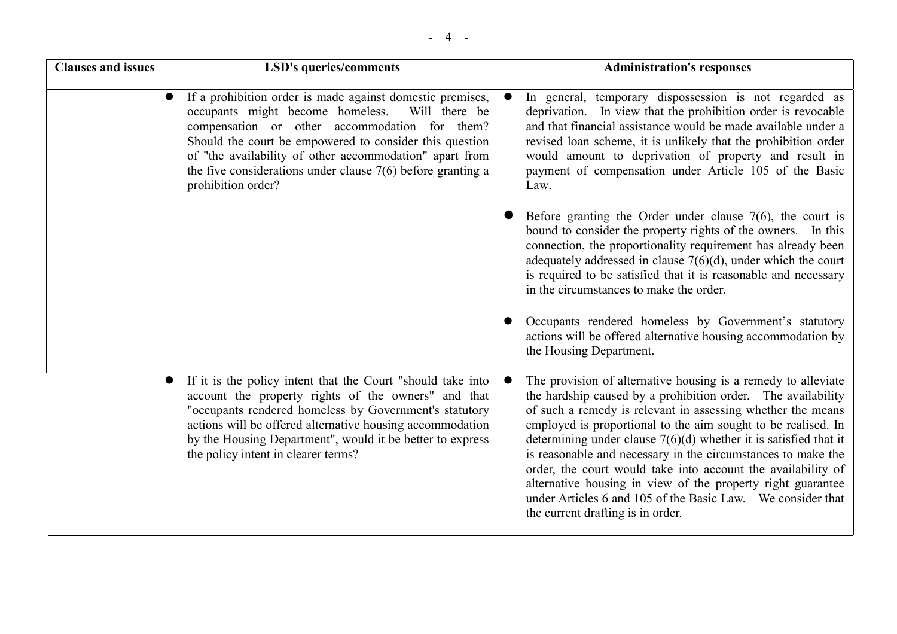| <b>Clauses and issues</b> | <b>LSD's queries/comments</b>                                                                                                                                                                                                                                                                                                                                                             |           | <b>Administration's responses</b>                                                                                                                                                                                                                                                                                                                                                                                                                                                                                                                                                                                                      |
|---------------------------|-------------------------------------------------------------------------------------------------------------------------------------------------------------------------------------------------------------------------------------------------------------------------------------------------------------------------------------------------------------------------------------------|-----------|----------------------------------------------------------------------------------------------------------------------------------------------------------------------------------------------------------------------------------------------------------------------------------------------------------------------------------------------------------------------------------------------------------------------------------------------------------------------------------------------------------------------------------------------------------------------------------------------------------------------------------------|
|                           | If a prohibition order is made against domestic premises,<br>$\bullet$<br>occupants might become homeless.<br>Will there be<br>compensation or other accommodation for them?<br>Should the court be empowered to consider this question<br>of "the availability of other accommodation" apart from<br>the five considerations under clause $7(6)$ before granting a<br>prohibition order? |           | In general, temporary dispossession is not regarded as<br>deprivation. In view that the prohibition order is revocable<br>and that financial assistance would be made available under a<br>revised loan scheme, it is unlikely that the prohibition order<br>would amount to deprivation of property and result in<br>payment of compensation under Article 105 of the Basic<br>Law.                                                                                                                                                                                                                                                   |
|                           |                                                                                                                                                                                                                                                                                                                                                                                           |           | Before granting the Order under clause $7(6)$ , the court is<br>bound to consider the property rights of the owners. In this<br>connection, the proportionality requirement has already been<br>adequately addressed in clause $7(6)(d)$ , under which the court<br>is required to be satisfied that it is reasonable and necessary<br>in the circumstances to make the order.                                                                                                                                                                                                                                                         |
|                           |                                                                                                                                                                                                                                                                                                                                                                                           |           | Occupants rendered homeless by Government's statutory<br>actions will be offered alternative housing accommodation by<br>the Housing Department.                                                                                                                                                                                                                                                                                                                                                                                                                                                                                       |
|                           | If it is the policy intent that the Court "should take into<br>$\bullet$<br>account the property rights of the owners" and that<br>"occupants rendered homeless by Government's statutory<br>actions will be offered alternative housing accommodation<br>by the Housing Department", would it be better to express<br>the policy intent in clearer terms?                                | $\bullet$ | The provision of alternative housing is a remedy to alleviate<br>the hardship caused by a prohibition order. The availability<br>of such a remedy is relevant in assessing whether the means<br>employed is proportional to the aim sought to be realised. In<br>determining under clause $7(6)(d)$ whether it is satisfied that it<br>is reasonable and necessary in the circumstances to make the<br>order, the court would take into account the availability of<br>alternative housing in view of the property right guarantee<br>under Articles 6 and 105 of the Basic Law. We consider that<br>the current drafting is in order. |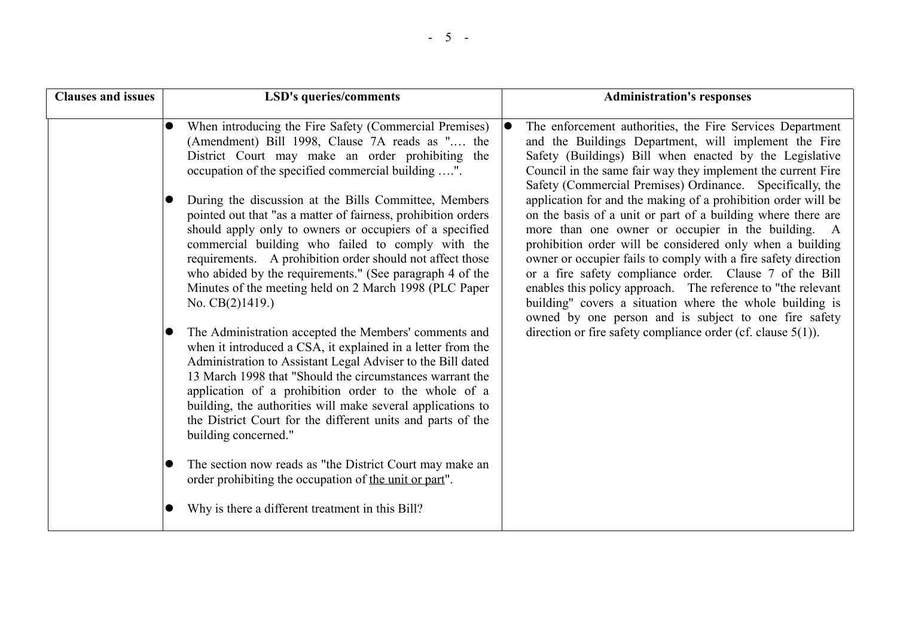| <b>Clauses and issues</b> | LSD's queries/comments                                                                                                                                                                                                                                                                                                                                                                                                                                                                                                                                                                                                                                                                                                                                                                                                                                                                                                                                                                                                                                                                                                                | <b>Administration's responses</b>                                                                                                                                                                                                                                                                                                                                                                                                                                                                                                                                                                                                                                                                                                                                                                                                                                                                                                                         |
|---------------------------|---------------------------------------------------------------------------------------------------------------------------------------------------------------------------------------------------------------------------------------------------------------------------------------------------------------------------------------------------------------------------------------------------------------------------------------------------------------------------------------------------------------------------------------------------------------------------------------------------------------------------------------------------------------------------------------------------------------------------------------------------------------------------------------------------------------------------------------------------------------------------------------------------------------------------------------------------------------------------------------------------------------------------------------------------------------------------------------------------------------------------------------|-----------------------------------------------------------------------------------------------------------------------------------------------------------------------------------------------------------------------------------------------------------------------------------------------------------------------------------------------------------------------------------------------------------------------------------------------------------------------------------------------------------------------------------------------------------------------------------------------------------------------------------------------------------------------------------------------------------------------------------------------------------------------------------------------------------------------------------------------------------------------------------------------------------------------------------------------------------|
|                           | When introducing the Fire Safety (Commercial Premises)<br>(Amendment) Bill 1998, Clause 7A reads as " the<br>District Court may make an order prohibiting the<br>occupation of the specified commercial building ".<br>During the discussion at the Bills Committee, Members<br>pointed out that "as a matter of fairness, prohibition orders<br>should apply only to owners or occupiers of a specified<br>commercial building who failed to comply with the<br>requirements. A prohibition order should not affect those<br>who abided by the requirements." (See paragraph 4 of the<br>Minutes of the meeting held on 2 March 1998 (PLC Paper<br>No. $CB(2)1419.$<br>The Administration accepted the Members' comments and<br>when it introduced a CSA, it explained in a letter from the<br>Administration to Assistant Legal Adviser to the Bill dated<br>13 March 1998 that "Should the circumstances warrant the<br>application of a prohibition order to the whole of a<br>building, the authorities will make several applications to<br>the District Court for the different units and parts of the<br>building concerned." | The enforcement authorities, the Fire Services Department<br>lo<br>and the Buildings Department, will implement the Fire<br>Safety (Buildings) Bill when enacted by the Legislative<br>Council in the same fair way they implement the current Fire<br>Safety (Commercial Premises) Ordinance. Specifically, the<br>application for and the making of a prohibition order will be<br>on the basis of a unit or part of a building where there are<br>more than one owner or occupier in the building. A<br>prohibition order will be considered only when a building<br>owner or occupier fails to comply with a fire safety direction<br>or a fire safety compliance order. Clause 7 of the Bill<br>enables this policy approach. The reference to "the relevant<br>building" covers a situation where the whole building is<br>owned by one person and is subject to one fire safety<br>direction or fire safety compliance order (cf. clause $5(1)$ ). |
|                           | The section now reads as "the District Court may make an<br>order prohibiting the occupation of the unit or part".<br>Why is there a different treatment in this Bill?                                                                                                                                                                                                                                                                                                                                                                                                                                                                                                                                                                                                                                                                                                                                                                                                                                                                                                                                                                |                                                                                                                                                                                                                                                                                                                                                                                                                                                                                                                                                                                                                                                                                                                                                                                                                                                                                                                                                           |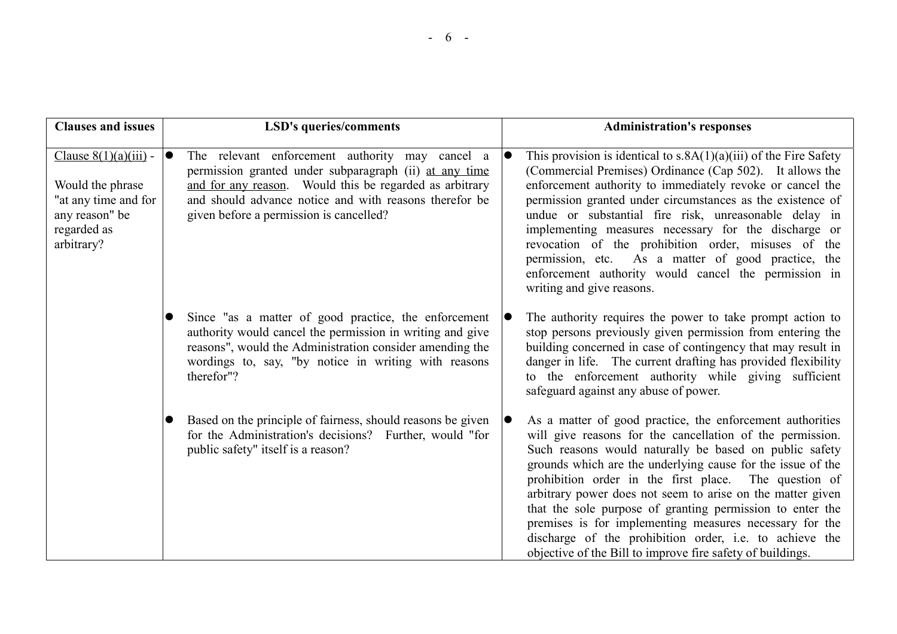| <b>Clauses and issues</b>                                                                                          | <b>LSD's queries/comments</b>                                                                                                                                                                                                                                                          | <b>Administration's responses</b>                                                                                                                                                                                                                                                                                                                                                                                                                                                                                                                                                                                       |
|--------------------------------------------------------------------------------------------------------------------|----------------------------------------------------------------------------------------------------------------------------------------------------------------------------------------------------------------------------------------------------------------------------------------|-------------------------------------------------------------------------------------------------------------------------------------------------------------------------------------------------------------------------------------------------------------------------------------------------------------------------------------------------------------------------------------------------------------------------------------------------------------------------------------------------------------------------------------------------------------------------------------------------------------------------|
| Clause $8(1)(a)(iii)$ -<br>Would the phrase<br>"at any time and for<br>any reason" be<br>regarded as<br>arbitrary? | The relevant enforcement authority may cancel a<br>$\bullet$<br>permission granted under subparagraph (ii) at any time<br>and for any reason. Would this be regarded as arbitrary<br>and should advance notice and with reasons therefor be<br>given before a permission is cancelled? | This provision is identical to $s.8A(1)(a)(iii)$ of the Fire Safety<br>(Commercial Premises) Ordinance (Cap 502). It allows the<br>enforcement authority to immediately revoke or cancel the<br>permission granted under circumstances as the existence of<br>undue or substantial fire risk, unreasonable delay in<br>implementing measures necessary for the discharge or<br>revocation of the prohibition order, misuses of the<br>permission, etc. As a matter of good practice, the<br>enforcement authority would cancel the permission in<br>writing and give reasons.                                           |
|                                                                                                                    | Since "as a matter of good practice, the enforcement<br>$\bullet$<br>authority would cancel the permission in writing and give<br>reasons", would the Administration consider amending the<br>wordings to, say, "by notice in writing with reasons<br>therefor"?                       | The authority requires the power to take prompt action to<br>stop persons previously given permission from entering the<br>building concerned in case of contingency that may result in<br>danger in life. The current drafting has provided flexibility<br>to the enforcement authority while giving sufficient<br>safeguard against any abuse of power.                                                                                                                                                                                                                                                               |
|                                                                                                                    | Based on the principle of fairness, should reasons be given<br>for the Administration's decisions? Further, would "for<br>public safety" itself is a reason?                                                                                                                           | As a matter of good practice, the enforcement authorities<br>will give reasons for the cancellation of the permission.<br>Such reasons would naturally be based on public safety<br>grounds which are the underlying cause for the issue of the<br>prohibition order in the first place. The question of<br>arbitrary power does not seem to arise on the matter given<br>that the sole purpose of granting permission to enter the<br>premises is for implementing measures necessary for the<br>discharge of the prohibition order, i.e. to achieve the<br>objective of the Bill to improve fire safety of buildings. |